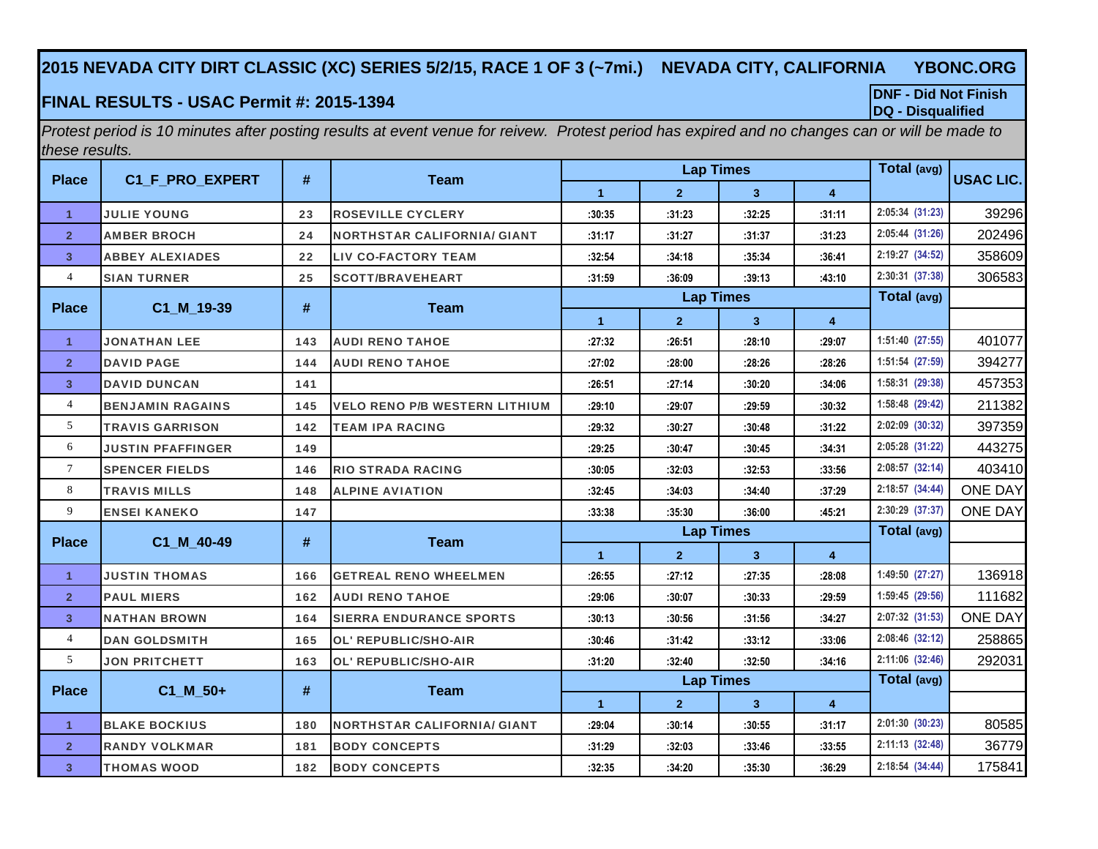## **2015 NEVADA CITY DIRT CLASSIC (XC) SERIES 5/2/15, RACE 1 OF 3 (~7mi.) NEVADA CITY, CALIFORNIA YBONC.ORG**

## **DQ - Disqualified FINAL RESULTS - USAC Permit #: 2015-1394**

**DNF - Did Not Finish**

*Protest period is 10 minutes after posting results at event venue for reivew. Protest period has expired and no changes can or will be made to these results.*

| <b>Place</b>   | C1_F_PRO_EXPERT          | #   | <b>Team</b>                          |                      | <b>Lap Times</b> |                |                | Total (avg)     | <b>USAC LIC.</b> |
|----------------|--------------------------|-----|--------------------------------------|----------------------|------------------|----------------|----------------|-----------------|------------------|
|                |                          |     |                                      | $\blacktriangleleft$ | $\mathbf{2}$     | $\mathbf{3}$   | 4              |                 |                  |
| $\mathbf{1}$   | <b>JULIE YOUNG</b>       | 23  | <b>ROSEVILLE CYCLERY</b>             | :30:35               | :31:23           | :32:25         | :31:11         | 2:05:34 (31:23) | 39296            |
| $\overline{2}$ | <b>AMBER BROCH</b>       | 24  | <b>NORTHSTAR CALIFORNIA/ GIANT</b>   | :31:17               | :31:27           | :31:37         | :31:23         | 2:05:44 (31:26) | 202496           |
| 3 <sup>1</sup> | <b>ABBEY ALEXIADES</b>   | 22  | <b>LIV CO-FACTORY TEAM</b>           | :32:54               | :34:18           | :35:34         | :36:41         | 2:19:27 (34:52) | 358609           |
| $\overline{4}$ | <b>SIAN TURNER</b>       | 25  | <b>SCOTT/BRAVEHEART</b>              | :31:59               | :36:09           | :39:13         | :43:10         | 2:30:31 (37:38) | 306583           |
| <b>Place</b>   | C1_M_19-39               | #   | <b>Team</b>                          |                      | <b>Lap Times</b> |                |                | Total (avg)     |                  |
|                |                          |     |                                      | $\blacktriangleleft$ | $\overline{2}$   | 3 <sup>1</sup> | $\overline{4}$ |                 |                  |
| $\mathbf{1}$   | <b>JONATHAN LEE</b>      | 143 | <b>AUDI RENO TAHOE</b>               | :27:32               | :26:51           | :28:10         | :29:07         | 1:51:40 (27:55) | 401077           |
| $\overline{2}$ | <b>DAVID PAGE</b>        | 144 | <b>AUDI RENO TAHOE</b>               | :27:02               | :28:00           | :28:26         | :28:26         | 1:51:54 (27:59) | 394277           |
| $\overline{3}$ | <b>DAVID DUNCAN</b>      | 141 |                                      | :26:51               | :27:14           | :30:20         | :34:06         | 1:58:31 (29:38) | 457353           |
| $\overline{4}$ | <b>BENJAMIN RAGAINS</b>  | 145 | <b>VELO RENO P/B WESTERN LITHIUM</b> | :29:10               | :29:07           | :29:59         | :30:32         | 1:58:48 (29:42) | 211382           |
| 5              | <b>TRAVIS GARRISON</b>   | 142 | <b>TEAM IPA RACING</b>               | :29:32               | :30:27           | :30:48         | :31:22         | 2:02:09 (30:32) | 397359           |
| 6              | <b>JUSTIN PFAFFINGER</b> | 149 |                                      | :29:25               | :30:47           | :30:45         | :34:31         | 2:05:28 (31:22) | 443275           |
| $\tau$         | <b>SPENCER FIELDS</b>    | 146 | <b>RIO STRADA RACING</b>             | :30:05               | :32:03           | :32:53         | :33:56         | 2:08:57 (32:14) | 403410           |
| 8              | <b>TRAVIS MILLS</b>      | 148 | <b>ALPINE AVIATION</b>               | :32:45               | :34:03           | :34:40         | :37:29         | 2:18:57 (34:44) | <b>ONE DAY</b>   |
| 9              | <b>ENSEI KANEKO</b>      | 147 |                                      | :33:38               | :35:30           | :36:00         | :45:21         | 2:30:29 (37:37) | <b>ONE DAY</b>   |
| <b>Place</b>   | C1 M 40-49               | #   | <b>Team</b>                          |                      | <b>Lap Times</b> |                |                | Total (avg)     |                  |
|                |                          |     |                                      | $\blacktriangleleft$ | $\overline{2}$   | $\mathbf{3}$   | 4              |                 |                  |
| $\mathbf{1}$   | <b>JUSTIN THOMAS</b>     | 166 | <b>GETREAL RENO WHEELMEN</b>         | :26:55               | :27:12           | :27:35         | :28:08         | 1:49:50 (27:27) | 136918           |
| $\overline{2}$ | <b>PAUL MIERS</b>        | 162 | <b>AUDI RENO TAHOE</b>               | :29:06               | :30:07           | :30:33         | :29:59         | 1:59:45 (29:56) | 111682           |
| $\overline{3}$ | <b>NATHAN BROWN</b>      | 164 | <b>SIERRA ENDURANCE SPORTS</b>       | :30:13               | :30:56           | :31:56         | :34:27         | 2:07:32 (31:53) | <b>ONE DAY</b>   |
| $\overline{4}$ | <b>DAN GOLDSMITH</b>     | 165 | <b>OL' REPUBLIC/SHO-AIR</b>          | :30:46               | :31:42           | :33:12         | :33:06         | 2:08:46 (32:12) | 258865           |
| 5 <sup>5</sup> | <b>JON PRITCHETT</b>     | 163 | <b>OL' REPUBLIC/SHO-AIR</b>          | :31:20               | :32:40           | :32:50         | :34:16         | 2:11:06 (32:46) | 292031           |
| <b>Place</b>   | C1 M 50+                 | #   | <b>Team</b>                          |                      | <b>Lap Times</b> |                |                | Total (avg)     |                  |
|                |                          |     |                                      | $\blacktriangleleft$ | $\overline{2}$   | $\overline{3}$ | 4              |                 |                  |
| $\mathbf{1}$   | <b>BLAKE BOCKIUS</b>     | 180 | <b>NORTHSTAR CALIFORNIA/ GIANT</b>   | :29:04               | :30:14           | :30:55         | :31:17         | 2:01:30 (30:23) | 80585            |
| $\overline{2}$ | <b>RANDY VOLKMAR</b>     | 181 | <b>BODY CONCEPTS</b>                 | :31:29               | :32:03           | :33:46         | :33:55         | 2:11:13 (32:48) | 36779            |
| 3 <sup>2</sup> | <b>THOMAS WOOD</b>       | 182 | <b>BODY CONCEPTS</b>                 | :32:35               | :34:20           | :35:30         | :36:29         | 2:18:54 (34:44) | 175841           |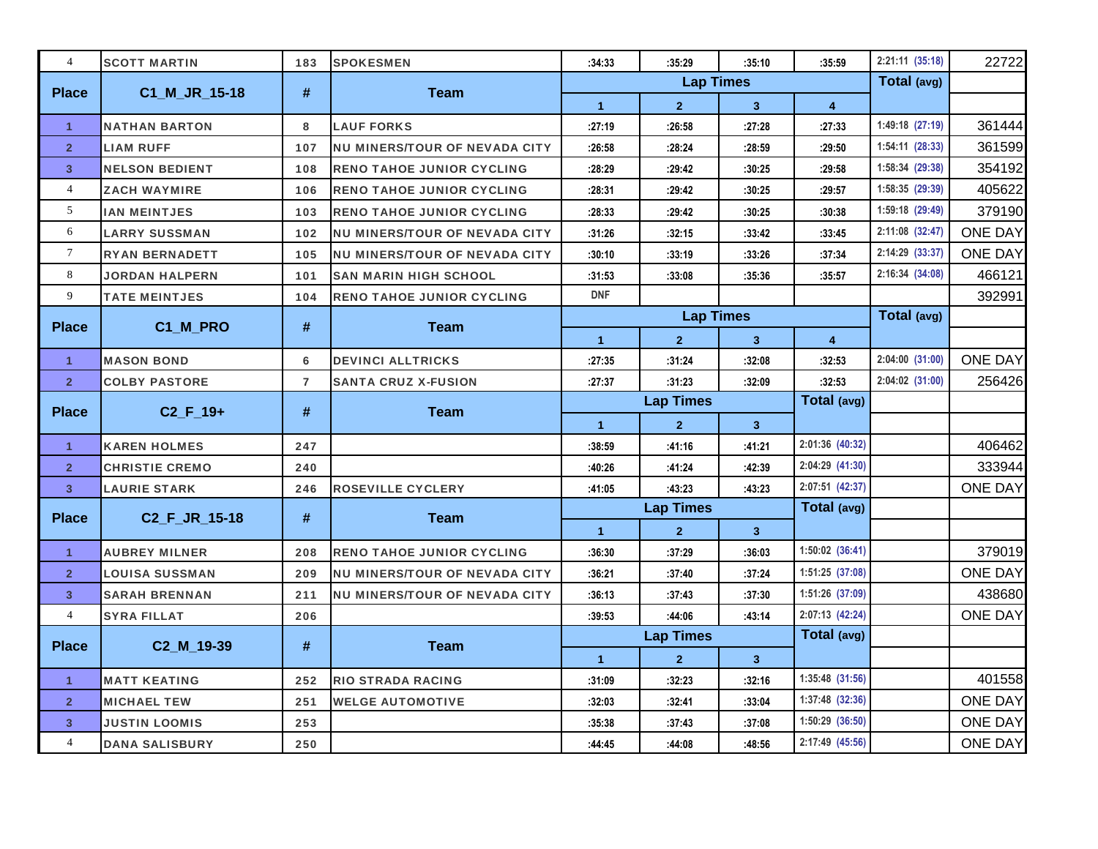| $\overline{4}$ | <b>SCOTT MARTIN</b>   | 183                      | <b>SPOKESMEN</b>                     | :34:33               | :35:29           | :35:10         | :35:59              | 2:21:11(35:18)  | 22722          |
|----------------|-----------------------|--------------------------|--------------------------------------|----------------------|------------------|----------------|---------------------|-----------------|----------------|
| <b>Place</b>   | C1_M_JR_15-18         | $\#$                     | <b>Team</b>                          |                      | <b>Lap Times</b> |                |                     | Total (avg)     |                |
|                |                       |                          |                                      | $\blacktriangleleft$ | $\overline{2}$   | $\mathbf{3}$   | 4                   |                 |                |
| $\mathbf{1}$   | <b>NATHAN BARTON</b>  | 8                        | <b>LAUF FORKS</b>                    | :27:19               | :26:58           | :27:28         | :27:33              | 1:49:18 (27:19) | 361444         |
| $\overline{2}$ | <b>LIAM RUFF</b>      | 107                      | <b>NU MINERS/TOUR OF NEVADA CITY</b> | :26:58               | :28:24           | :28:59         | :29:50              | 1:54:11 (28:33) | 361599         |
| 3              | <b>NELSON BEDIENT</b> | 108                      | <b>RENO TAHOE JUNIOR CYCLING</b>     | :28:29               | :29:42           | :30:25         | :29:58              | 1:58:34 (29:38) | 354192         |
| $\overline{4}$ | <b>ZACH WAYMIRE</b>   | 106                      | <b>RENO TAHOE JUNIOR CYCLING</b>     | :28:31               | :29:42           | :30:25         | :29:57              | 1:58:35 (29:39) | 405622         |
| 5              | <b>IAN MEINTJES</b>   | 103                      | <b>RENO TAHOE JUNIOR CYCLING</b>     | :28:33               | :29:42           | :30:25         | :30:38              | 1:59:18 (29:49) | 379190         |
| 6              | <b>LARRY SUSSMAN</b>  | 102                      | <b>NU MINERS/TOUR OF NEVADA CITY</b> | :31:26               | :32:15           | :33:42         | :33:45              | 2:11:08 (32:47) | <b>ONE DAY</b> |
| $\tau$         | <b>RYAN BERNADETT</b> | 105                      | <b>NU MINERS/TOUR OF NEVADA CITY</b> | :30:10               | :33:19           | :33:26         | :37:34              | 2:14:29 (33:37) | <b>ONE DAY</b> |
| 8              | JORDAN HALPERN        | 101                      | <b>SAN MARIN HIGH SCHOOL</b>         | :31:53               | :33:08           | :35:36         | :35:57              | 2:16:34 (34:08) | 466121         |
| 9              | <b>TATE MEINTJES</b>  | 104                      | <b>RENO TAHOE JUNIOR CYCLING</b>     | <b>DNF</b>           |                  |                |                     |                 | 392991         |
| <b>Place</b>   | C1_M_PRO              | #                        | <b>Team</b>                          |                      | <b>Lap Times</b> |                |                     | Total (avg)     |                |
|                |                       |                          |                                      | $\blacktriangleleft$ | $\overline{2}$   | 3 <sup>2</sup> | 4                   |                 |                |
| $\mathbf{1}$   | <b>MASON BOND</b>     | 6                        | <b>DEVINCI ALLTRICKS</b>             | :27:35               | :31:24           | :32:08         | :32:53              | 2:04:00 (31:00) | <b>ONE DAY</b> |
| $\overline{2}$ | <b>COLBY PASTORE</b>  | $\overline{\phantom{a}}$ | <b>SANTA CRUZ X-FUSION</b>           | :27:37               | :31:23           | :32:09         | :32:53              | 2:04:02 (31:00) | 256426         |
| <b>Place</b>   | $C2_F_19+$            | #                        | <b>Team</b>                          |                      | <b>Lap Times</b> |                | Total (avg)         |                 |                |
|                |                       |                          |                                      | $\blacktriangleleft$ | $\overline{2}$   | 3 <sup>2</sup> |                     |                 |                |
| $\mathbf{1}$   | <b>KAREN HOLMES</b>   | 247                      |                                      | :38:59               | :41:16           | :41:21         | 2:01:36 (40:32)     |                 | 406462         |
| $\overline{2}$ | <b>CHRISTIE CREMO</b> | 240                      |                                      | :40:26               | :41:24           | :42:39         | 2:04:29 (41:30)     |                 | 333944         |
| 3              | <b>LAURIE STARK</b>   | 246                      | <b>ROSEVILLE CYCLERY</b>             | :41:05               | :43:23           | :43:23         | 2:07:51 (42:37)     |                 | <b>ONE DAY</b> |
| <b>Place</b>   | C2_F_JR_15-18         | #                        | <b>Team</b>                          |                      | <b>Lap Times</b> |                | Total (avg)         |                 |                |
|                |                       |                          |                                      | $\blacktriangleleft$ | $\overline{2}$   | 3 <sup>1</sup> |                     |                 |                |
| $\mathbf{1}$   | <b>AUBREY MILNER</b>  | 208                      | <b>RENO TAHOE JUNIOR CYCLING</b>     | :36:30               | :37:29           | :36:03         | 1:50:02 (36:41)     |                 | 379019         |
| $\overline{2}$ | LOUISA SUSSMAN        | 209                      | <b>NU MINERS/TOUR OF NEVADA CITY</b> | :36:21               | :37:40           | :37:24         | 1:51:25 (37:08)     |                 | <b>ONE DAY</b> |
| 3              | <b>SARAH BRENNAN</b>  | 211                      | <b>NU MINERS/TOUR OF NEVADA CITY</b> | :36:13               | :37:43           | :37:30         | 1:51:26 (37:09)     |                 | 438680         |
| $\overline{4}$ | <b>SYRA FILLAT</b>    | 206                      |                                      | :39:53               | :44:06           | :43:14         | 2:07:13 (42:24)     |                 | <b>ONE DAY</b> |
| <b>Place</b>   | C2_M_19-39            | #                        | <b>Team</b>                          |                      | <b>Lap Times</b> |                | Total (avg)         |                 |                |
|                |                       |                          |                                      | $\blacktriangleleft$ | 2 <sup>1</sup>   | 3 <sup>1</sup> |                     |                 |                |
| $\mathbf{1}$   | <b>MATT KEATING</b>   | 252                      | <b>RIO STRADA RACING</b>             | :31:09               | :32:23           | :32:16         | $1:35:48$ $(31:56)$ |                 | 401558         |
| 2 <sup>1</sup> | <b>MICHAEL TEW</b>    | 251                      | <b>WELGE AUTOMOTIVE</b>              | :32:03               | :32:41           | :33:04         | 1:37:48 (32:36)     |                 | <b>ONE DAY</b> |
| 3              | <b>JUSTIN LOOMIS</b>  | 253                      |                                      | :35:38               | :37:43           | :37:08         | $1:50:29$ $(36:50)$ |                 | <b>ONE DAY</b> |
| $\overline{4}$ | <b>DANA SALISBURY</b> | 250                      |                                      | :44:45               | :44:08           | :48:56         | 2:17:49 (45:56)     |                 | <b>ONE DAY</b> |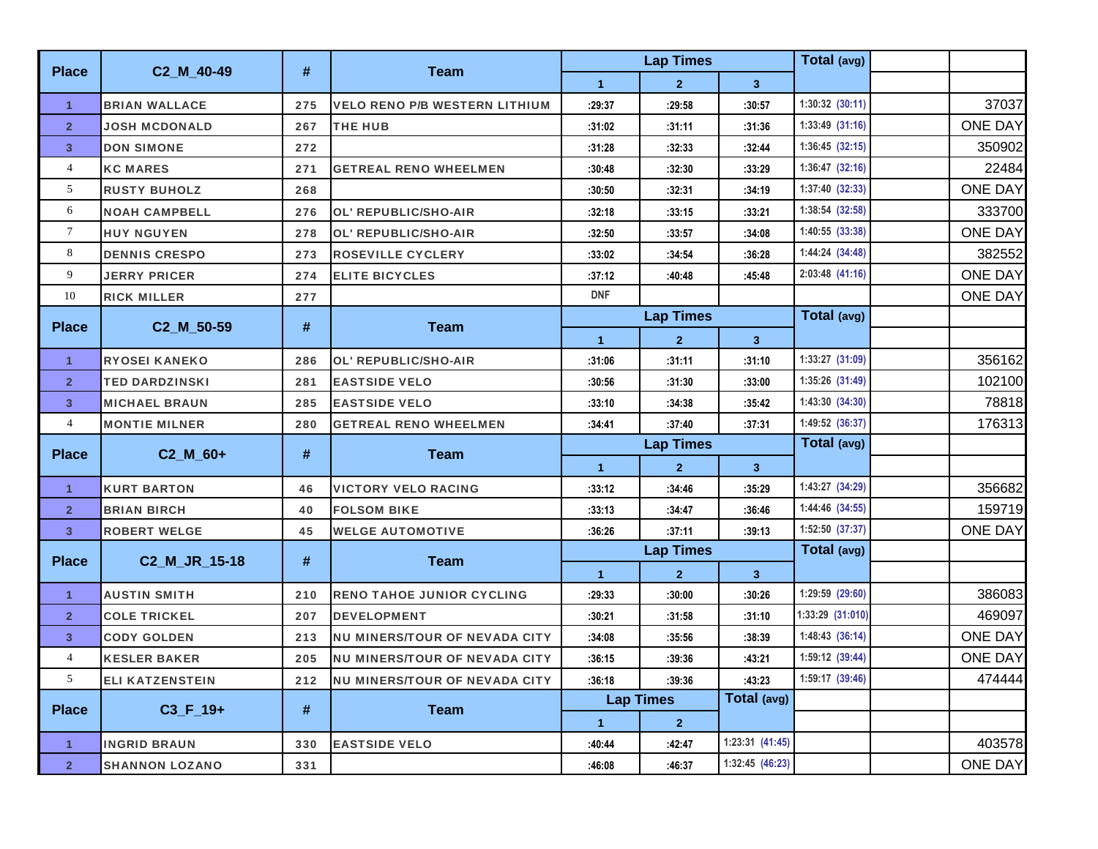|                         |                         |      |                                      |                      | <b>Lap Times</b> |                     | Total (avg)         |                |        |
|-------------------------|-------------------------|------|--------------------------------------|----------------------|------------------|---------------------|---------------------|----------------|--------|
| <b>Place</b>            | C2_M_40-49              | #    | <b>Team</b>                          | $\blacktriangleleft$ | $\mathbf{2}$     | $\mathbf{3}$        |                     |                |        |
| $\mathbf{1}$            | <b>BRIAN WALLACE</b>    | 275  | <b>VELO RENO P/B WESTERN LITHIUM</b> | :29:37               | :29:58           | :30:57              | $1:30:32$ $(30:11)$ |                | 37037  |
| $\overline{2}$          | <b>JOSH MCDONALD</b>    | 267  | THE HUB                              | :31:02               | :31:11           | :31:36              | $1:33:49$ $(31:16)$ | <b>ONE DAY</b> |        |
| $\overline{\mathbf{3}}$ | <b>DON SIMONE</b>       | 272  |                                      | :31:28               | :32:33           | :32:44              | 1:36:45(32:15)      |                | 350902 |
| $\overline{4}$          | <b>KC MARES</b>         | 271  | <b>GETREAL RENO WHEELMEN</b>         | :30:48               | :32:30           | :33:29              | 1:36:47(32:16)      |                | 22484  |
| 5                       | <b>RUSTY BUHOLZ</b>     | 268  |                                      | :30:50               | :32:31           | :34:19              | 1:37:40 (32:33)     | <b>ONE DAY</b> |        |
| 6                       | <b>NOAH CAMPBELL</b>    | 276  | <b>OL' REPUBLIC/SHO-AIR</b>          | :32:18               | :33:15           | :33:21              | 1:38:54 (32:58)     |                | 333700 |
| $\tau$                  | <b>HUY NGUYEN</b>       | 278  | OL' REPUBLIC/SHO-AIR                 | :32:50               | :33:57           | :34:08              | 1:40:55 (33:38)     | <b>ONE DAY</b> |        |
| 8                       | <b>DENNIS CRESPO</b>    | 273  | <b>ROSEVILLE CYCLERY</b>             | :33:02               | :34:54           | :36:28              | 1:44:24 (34:48)     |                | 382552 |
| 9                       | <b>JERRY PRICER</b>     | 274  | <b>ELITE BICYCLES</b>                | :37:12               | :40:48           | :45:48              | 2:03:48 (41:16)     | <b>ONE DAY</b> |        |
| 10                      | <b>RICK MILLER</b>      | 277  |                                      | <b>DNF</b>           |                  |                     |                     | <b>ONE DAY</b> |        |
| <b>Place</b>            | C2 M 50-59              | #    | <b>Team</b>                          |                      | <b>Lap Times</b> |                     | Total (avg)         |                |        |
|                         |                         |      |                                      | $\blacktriangleleft$ | $\mathbf{2}$     | 3 <sup>2</sup>      |                     |                |        |
| $\mathbf{1}$            | <b>RYOSEI KANEKO</b>    | 286  | <b>OL' REPUBLIC/SHO-AIR</b>          | :31:06               | :31:11           | :31:10              | 1:33:27(31:09)      |                | 356162 |
| $\overline{2}$          | <b>TED DARDZINSKI</b>   | 281  | <b>EASTSIDE VELO</b>                 | :30:56               | :31:30           | :33:00              | 1:35:26 (31:49)     |                | 102100 |
| $\overline{\mathbf{3}}$ | <b>MICHAEL BRAUN</b>    | 285  | <b>EASTSIDE VELO</b>                 | :33:10               | :34:38           | :35.42              | 1:43:30(34:30)      |                | 78818  |
| $\overline{4}$          | <b>MONTIE MILNER</b>    | 280  | <b>GETREAL RENO WHEELMEN</b>         | :34:41               | :37:40           | :37:31              | 1:49:52 (36:37)     |                | 176313 |
| <b>Place</b>            | $C2$ <sub>_</sub> M_60+ | #    | <b>Team</b>                          |                      | <b>Lap Times</b> |                     | Total (avg)         |                |        |
|                         |                         |      |                                      | $\blacktriangleleft$ | $\mathbf{2}$     | $3\phantom{a}$      |                     |                |        |
| $\mathbf{1}$            | <b>KURT BARTON</b>      | 46   | <b>VICTORY VELO RACING</b>           | :33:12               | :34:46           | :35:29              | 1:43:27 (34:29)     |                | 356682 |
| $\overline{2}$          | <b>BRIAN BIRCH</b>      | 40   | <b>FOLSOM BIKE</b>                   | :33:13               | :34:47           | :36:46              | 1:44:46 (34:55)     |                | 159719 |
| $\overline{\mathbf{3}}$ | <b>ROBERT WELGE</b>     | 45   | <b>WELGE AUTOMOTIVE</b>              | :36:26               | :37:11           | :39:13              | 1:52:50 (37:37)     | <b>ONE DAY</b> |        |
| <b>Place</b>            | C2_M_JR_15-18           | #    | <b>Team</b>                          |                      | <b>Lap Times</b> |                     | Total (avg)         |                |        |
|                         |                         |      |                                      | $\blacktriangleleft$ | $\mathbf{2}$     | $\mathbf{3}$        |                     |                |        |
| $\mathbf{1}$            | <b>AUSTIN SMITH</b>     | 210  | <b>RENO TAHOE JUNIOR CYCLING</b>     | :29:33               | :30:00           | :30:26              | 1:29:59 (29:60)     |                | 386083 |
| $\overline{2}$          | <b>COLE TRICKEL</b>     | 207  | <b>DEVELOPMENT</b>                   | :30:21               | :31:58           | :31:10              | 1:33:29 (31:010)    |                | 469097 |
| $\overline{\mathbf{3}}$ | <b>CODY GOLDEN</b>      | 213  | <b>NU MINERS/TOUR OF NEVADA CITY</b> | :34:08               | :35:56           | :38:39              | 1:48:43(36:14)      | <b>ONE DAY</b> |        |
| $\overline{4}$          | <b>KESLER BAKER</b>     | 205  | <b>NU MINERS/TOUR OF NEVADA CITY</b> | :36:15               | :39:36           | :43:21              | 1:59:12 (39:44)     | <b>ONE DAY</b> |        |
| 5 <sup>5</sup>          | <b>ELI KATZENSTEIN</b>  | 212  | <b>NU MINERS/TOUR OF NEVADA CITY</b> | :36:18               | :39:36           | :43:23              | 1:59:17(39:46)      |                | 474444 |
|                         |                         | $\#$ |                                      |                      | <b>Lap Times</b> | Total (avg)         |                     |                |        |
| <b>Place</b>            | $C3_F_19+$              |      | <b>Team</b>                          | $\blacktriangleleft$ | $\overline{2}$   |                     |                     |                |        |
| $\mathbf{1}$            | <b>INGRID BRAUN</b>     | 330  | <b>EASTSIDE VELO</b>                 | :40:44               | :42:47           | $1:23:31$ $(41:45)$ |                     |                | 403578 |
| $\overline{2}$          | <b>SHANNON LOZANO</b>   | 331  |                                      | :46:08               | :46:37           | 1:32:45 (46:23)     |                     | <b>ONE DAY</b> |        |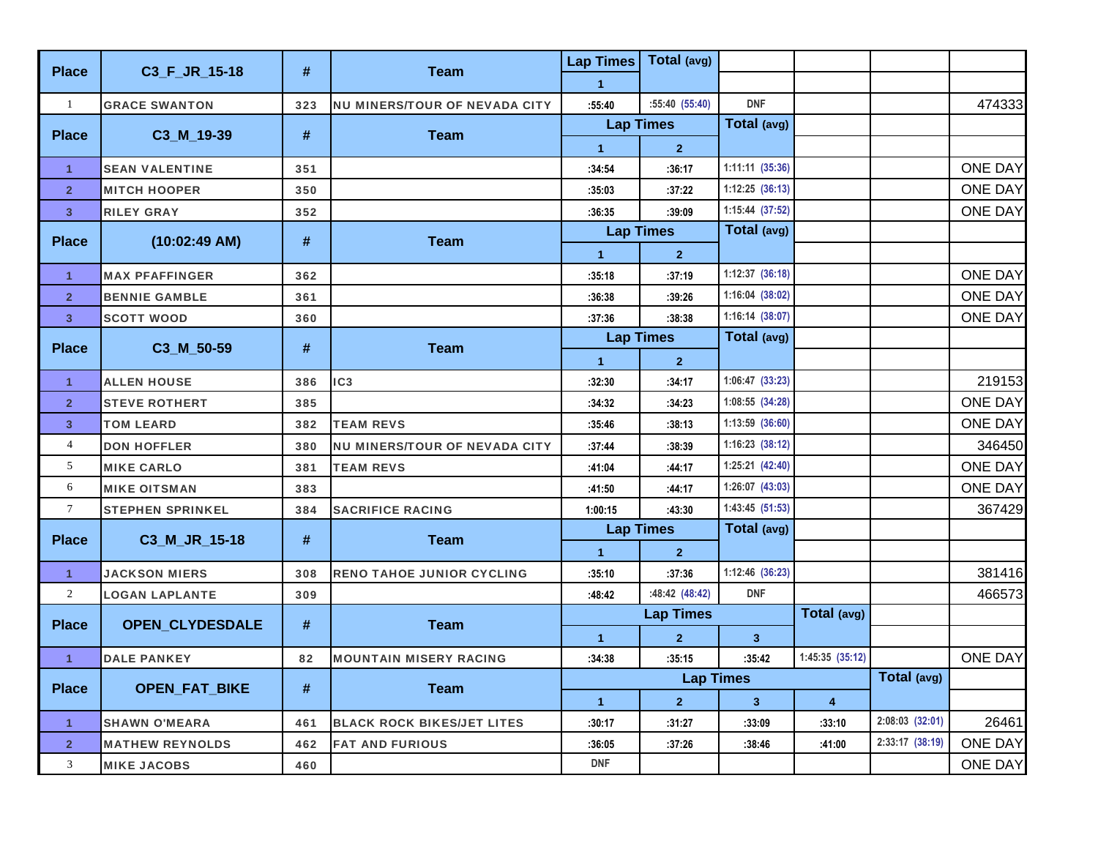| <b>Place</b>            | C3_F_JR_15-18           | #   | <b>Team</b>                          | <b>Lap Times</b> | Total (avg)      |                   |                |                 |                |
|-------------------------|-------------------------|-----|--------------------------------------|------------------|------------------|-------------------|----------------|-----------------|----------------|
|                         |                         |     |                                      | $\mathbf{1}$     |                  |                   |                |                 |                |
| $\mathbf{1}$            | <b>GRACE SWANTON</b>    | 323 | <b>NU MINERS/TOUR OF NEVADA CITY</b> | :55:40           | :55:40(55:40)    | <b>DNF</b>        |                |                 | 474333         |
| <b>Place</b>            | C3_M_19-39              | #   | <b>Team</b>                          | <b>Lap Times</b> |                  | Total (avg)       |                |                 |                |
|                         |                         |     |                                      | $\mathbf{1}$     | 2 <sup>1</sup>   |                   |                |                 |                |
| $\mathbf{1}$            | <b>SEAN VALENTINE</b>   | 351 |                                      | :34:54           | :36:17           | $1:11:11$ (35:36) |                |                 | <b>ONE DAY</b> |
| $\overline{2}$          | <b>MITCH HOOPER</b>     | 350 |                                      | :35:03           | :37:22           | 1:12:25(36:13)    |                |                 | <b>ONE DAY</b> |
| $\overline{\mathbf{3}}$ | <b>RILEY GRAY</b>       | 352 |                                      | :36:35           | :39:09           | 1:15:44 (37:52)   |                |                 | <b>ONE DAY</b> |
| <b>Place</b>            | $(10:02:49$ AM)         | #   | <b>Team</b>                          | <b>Lap Times</b> |                  | Total (avg)       |                |                 |                |
|                         |                         |     |                                      | $\mathbf{1}$     | $\overline{2}$   |                   |                |                 |                |
| $\mathbf{1}$            | <b>MAX PFAFFINGER</b>   | 362 |                                      | :35:18           | :37:19           | 1:12:37(36:18)    |                |                 | <b>ONE DAY</b> |
| $\overline{2}$          | <b>BENNIE GAMBLE</b>    | 361 |                                      | :36:38           | :39:26           | 1:16:04(38:02)    |                |                 | <b>ONE DAY</b> |
| $\overline{3}$          | <b>SCOTT WOOD</b>       | 360 |                                      | :37:36           | :38:38           | 1:16:14 (38:07)   |                |                 | <b>ONE DAY</b> |
| <b>Place</b>            | C3_M_50-59              | #   | <b>Team</b>                          | <b>Lap Times</b> |                  | Total (avg)       |                |                 |                |
|                         |                         |     |                                      | $\mathbf{1}$     | $\overline{2}$   |                   |                |                 |                |
| $\mathbf{1}$            | <b>ALLEN HOUSE</b>      | 386 | IC <sub>3</sub>                      | :32:30           | :34:17           | 1:06:47 (33:23)   |                |                 | 219153         |
| $\overline{\mathbf{2}}$ | <b>STEVE ROTHERT</b>    | 385 |                                      | :34:32           | :34:23           | 1:08:55 (34:28)   |                |                 | <b>ONE DAY</b> |
| $\overline{\mathbf{3}}$ | <b>TOM LEARD</b>        | 382 | <b>TEAM REVS</b>                     | :35:46           | :38:13           | 1:13:59 (36:60)   |                |                 | <b>ONE DAY</b> |
| $\overline{4}$          | <b>DON HOFFLER</b>      | 380 | <b>NU MINERS/TOUR OF NEVADA CITY</b> | :37:44           | :38:39           | 1:16:23 (38:12)   |                |                 | 346450         |
| 5                       | <b>MIKE CARLO</b>       | 381 | <b>TEAM REVS</b>                     | :41:04           | :44:17           | 1:25:21 (42:40)   |                |                 | <b>ONE DAY</b> |
| 6                       | <b>MIKE OITSMAN</b>     | 383 |                                      | :41:50           | :44:17           | 1:26:07 (43:03)   |                |                 | <b>ONE DAY</b> |
| $7\phantom{.0}$         | <b>STEPHEN SPRINKEL</b> | 384 | <b>SACRIFICE RACING</b>              | 1:00:15          | :43:30           | 1:43:45 (51:53)   |                |                 | 367429         |
| <b>Place</b>            | C3_M_JR_15-18           | #   | <b>Team</b>                          | <b>Lap Times</b> |                  | Total (avg)       |                |                 |                |
|                         |                         |     |                                      | $\mathbf{1}$     | $\mathbf{2}$     |                   |                |                 |                |
| $\mathbf{1}$            | <b>JACKSON MIERS</b>    | 308 | <b>RENO TAHOE JUNIOR CYCLING</b>     | :35:10           | :37:36           | 1:12:46 (36:23)   |                |                 | 381416         |
| $\overline{2}$          | <b>LOGAN LAPLANTE</b>   | 309 |                                      | :48:42           | :48:42 (48:42)   | <b>DNF</b>        |                |                 | 466573         |
| <b>Place</b>            | OPEN_CLYDESDALE         | #   | <b>Team</b>                          |                  | <b>Lap Times</b> |                   | Total (avg)    |                 |                |
|                         |                         |     |                                      | $\mathbf{1}$     | $\overline{2}$   | $\mathbf{3}$      |                |                 |                |
| $\mathbf{1}$            | <b>DALE PANKEY</b>      | 82  | <b>MOUNTAIN MISERY RACING</b>        | :34:38           | :35:15           | :35:42            | 1:45:35(35:12) |                 | <b>ONE DAY</b> |
| <b>Place</b>            | <b>OPEN_FAT_BIKE</b>    | #   | <b>Team</b>                          |                  | <b>Lap Times</b> |                   |                | Total (avg)     |                |
|                         |                         |     |                                      | $\mathbf{1}$     | $\mathbf{2}$     | $\mathbf{3}$      | 4              |                 |                |
| $\mathbf{1}$            | <b>SHAWN O'MEARA</b>    | 461 | <b>BLACK ROCK BIKES/JET LITES</b>    | :30:17           | :31:27           | :33:09            | :33:10         | 2:08:03 (32:01) | 26461          |
| $\overline{2}$          | <b>MATHEW REYNOLDS</b>  | 462 | <b>FAT AND FURIOUS</b>               | :36:05           | :37:26           | :38:46            | :41:00         | 2:33:17 (38:19) | <b>ONE DAY</b> |
| $\mathfrak{Z}$          | <b>MIKE JACOBS</b>      | 460 |                                      | <b>DNF</b>       |                  |                   |                |                 | <b>ONE DAY</b> |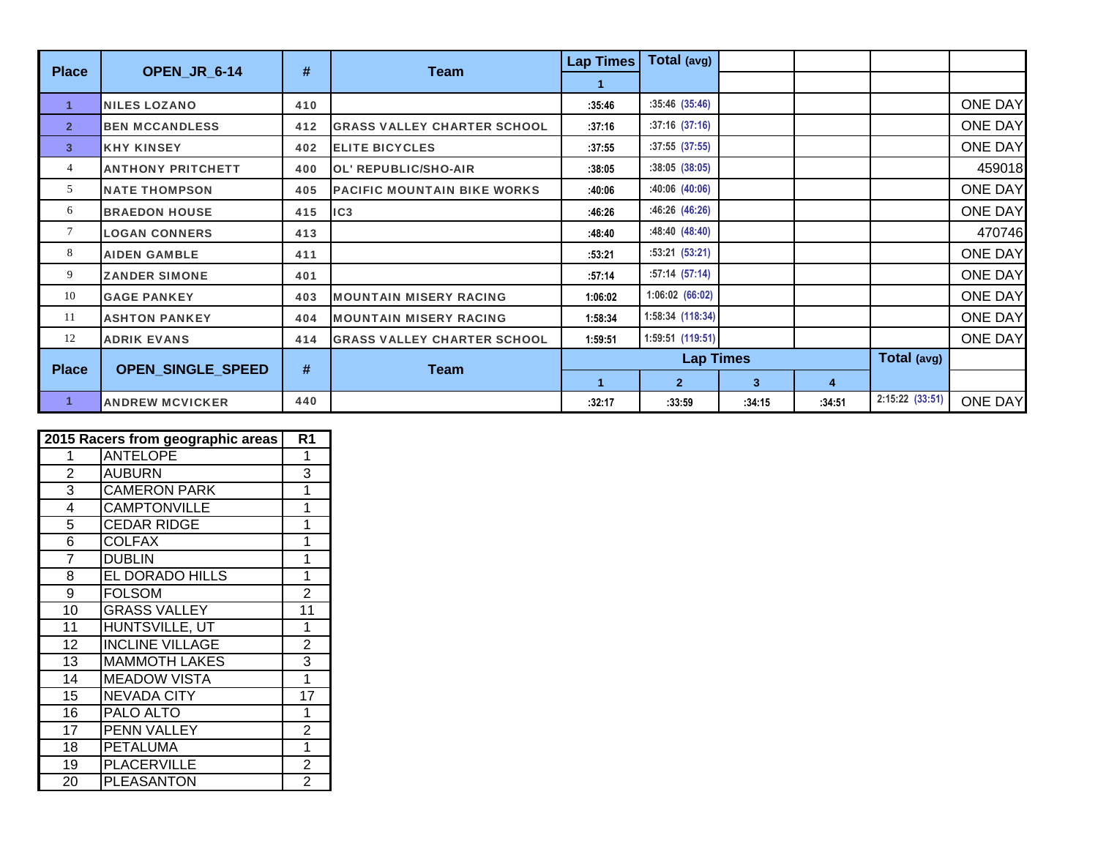| <b>Place</b>   | OPEN_JR_6-14             | $\#$ | <b>Team</b>                        | <b>Lap Times</b> | Total (avg)      |        |        |                 |                |
|----------------|--------------------------|------|------------------------------------|------------------|------------------|--------|--------|-----------------|----------------|
|                |                          |      |                                    |                  |                  |        |        |                 |                |
| 1              | <b>NILES LOZANO</b>      | 410  |                                    | :35:46           | :35:46(35:46)    |        |        |                 | <b>ONE DAY</b> |
| $\overline{2}$ | <b>BEN MCCANDLESS</b>    | 412  | <b>GRASS VALLEY CHARTER SCHOOL</b> | :37:16           | $:37:16$ (37:16) |        |        |                 | <b>ONE DAY</b> |
| 3 <sup>1</sup> | <b>KHY KINSEY</b>        | 402  | <b>ELITE BICYCLES</b>              | :37:55           | $:37:55$ (37:55) |        |        |                 | <b>ONE DAY</b> |
| 4              | <b>ANTHONY PRITCHETT</b> | 400  | <b>OL' REPUBLIC/SHO-AIR</b>        | :38:05           | :38:05(38:05)    |        |        |                 | 459018         |
| 5              | <b>NATE THOMPSON</b>     | 405  | <b>PACIFIC MOUNTAIN BIKE WORKS</b> | :40:06           | :40:06(40:06)    |        |        |                 | <b>ONE DAY</b> |
| 6              | <b>BRAEDON HOUSE</b>     | 415  | IC3                                | :46:26           | :46:26(46:26)    |        |        |                 | <b>ONE DAY</b> |
| 7              | <b>LOGAN CONNERS</b>     | 413  |                                    | :48:40           | :48:40(48:40)    |        |        |                 | 470746         |
| 8              | <b>AIDEN GAMBLE</b>      | 411  |                                    | :53:21           | :53:21(53:21)    |        |        |                 | <b>ONE DAY</b> |
| 9              | <b>ZANDER SIMONE</b>     | 401  |                                    | :57:14           | :57:14(57:14)    |        |        |                 | <b>ONE DAY</b> |
| 10             | <b>GAGE PANKEY</b>       | 403  | <b>MOUNTAIN MISERY RACING</b>      | 1:06:02          | 1:06:02 (66:02)  |        |        |                 | <b>ONE DAY</b> |
| 11             | <b>ASHTON PANKEY</b>     | 404  | <b>MOUNTAIN MISERY RACING</b>      | 1:58:34          | 1:58:34 (118:34) |        |        |                 | <b>ONE DAY</b> |
| 12             | <b>ADRIK EVANS</b>       | 414  | <b>GRASS VALLEY CHARTER SCHOOL</b> | 1:59:51          | 1:59:51 (119:51) |        |        |                 | <b>ONE DAY</b> |
| <b>Place</b>   | <b>OPEN_SINGLE_SPEED</b> | #    | Team                               |                  | <b>Lap Times</b> |        |        | Total (avg)     |                |
|                |                          |      |                                    |                  | $\overline{2}$   | 3      | 4      |                 |                |
| $\mathbf{1}$   | <b>ANDREW MCVICKER</b>   | 440  |                                    | :32:17           | :33:59           | :34:15 | :34:51 | 2:15:22 (33:51) | <b>ONE DAY</b> |

|                 | 2015 Racers from geographic areas | R <sub>1</sub> |
|-----------------|-----------------------------------|----------------|
| 1               | <b>ANTELOPE</b>                   | 1              |
| $\overline{2}$  | <b>AUBURN</b>                     | 3              |
| 3               | <b>CAMERON PARK</b>               | 1              |
| 4               | <b>CAMPTONVILLE</b>               | 1              |
| 5               | <b>CEDAR RIDGE</b>                | 1              |
| 6               | <b>COLFAX</b>                     | 1              |
| $\overline{7}$  | <b>DUBLIN</b>                     | 1              |
| 8               | EL DORADO HILLS                   | 1              |
| $\overline{9}$  | <b>FOLSOM</b>                     | $\overline{2}$ |
| 10              | <b>GRASS VALLEY</b>               | 11             |
| $\overline{11}$ | HUNTSVILLE, UT                    | 1              |
| 12              | <b>INCLINE VILLAGE</b>            | $\overline{2}$ |
| 13              | <b>MAMMOTH LAKES</b>              | 3              |
| 14              | <b>MEADOW VISTA</b>               | 1              |
| 15              | <b>NEVADA CITY</b>                | 17             |
| 16              | PALO ALTO                         | 1              |
| 17              | PENN VALLEY                       | $\overline{2}$ |
| 18              | <b>PETALUMA</b>                   | 1              |
| 19              | <b>PLACERVILLE</b>                | $\overline{2}$ |
| 20              | <b>PLEASANTON</b>                 | $\overline{2}$ |